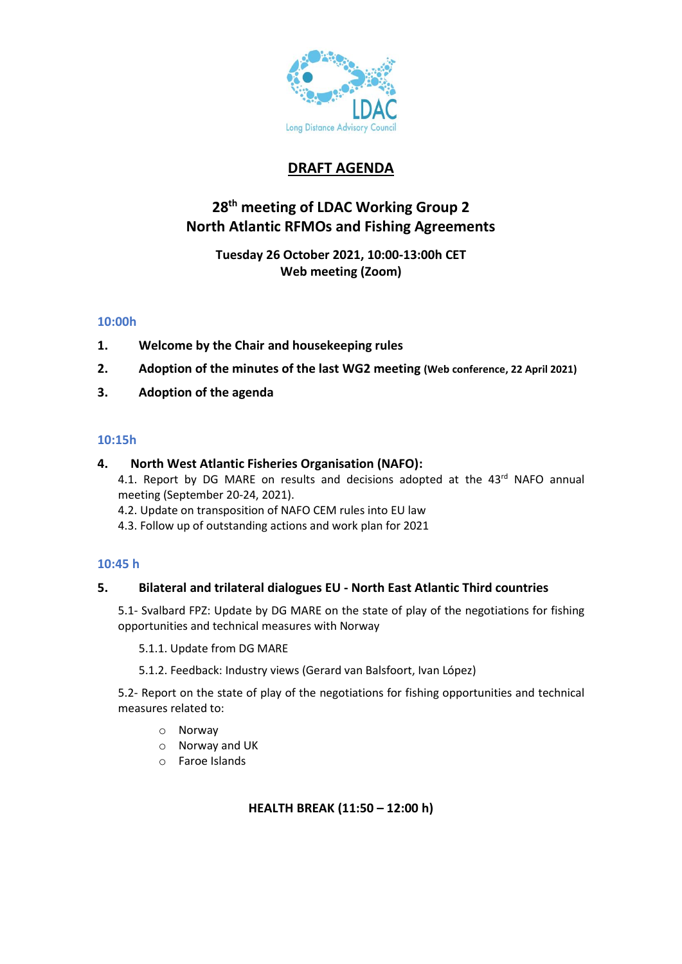

# **DRAFT AGENDA**

# **28 th meeting of LDAC Working Group 2 North Atlantic RFMOs and Fishing Agreements**

**Tuesday 26 October 2021, 10:00-13:00h CET Web meeting (Zoom)**

# **10:00h**

- **1. Welcome by the Chair and housekeeping rules**
- **2. Adoption of the minutes of the last WG2 meeting (Web conference, 22 April 2021)**
- **3. Adoption of the agenda**

## **10:15h**

## **4. North West Atlantic Fisheries Organisation (NAFO):**

4.1. Report by DG MARE on results and decisions adopted at the 43<sup>rd</sup> NAFO annual meeting (September 20-24, 2021).

- 4.2. Update on transposition of NAFO CEM rules into EU law
- 4.3. Follow up of outstanding actions and work plan for 2021

# **10:45 h**

# **5. Bilateral and trilateral dialogues EU - North East Atlantic Third countries**

5.1- Svalbard FPZ: Update by DG MARE on the state of play of the negotiations for fishing opportunities and technical measures with Norway

5.1.1. Update from DG MARE

5.1.2. Feedback: Industry views (Gerard van Balsfoort, Ivan López)

5.2- Report on the state of play of the negotiations for fishing opportunities and technical measures related to:

- o Norway
- o Norway and UK
- o Faroe Islands

**HEALTH BREAK (11:50 – 12:00 h)**